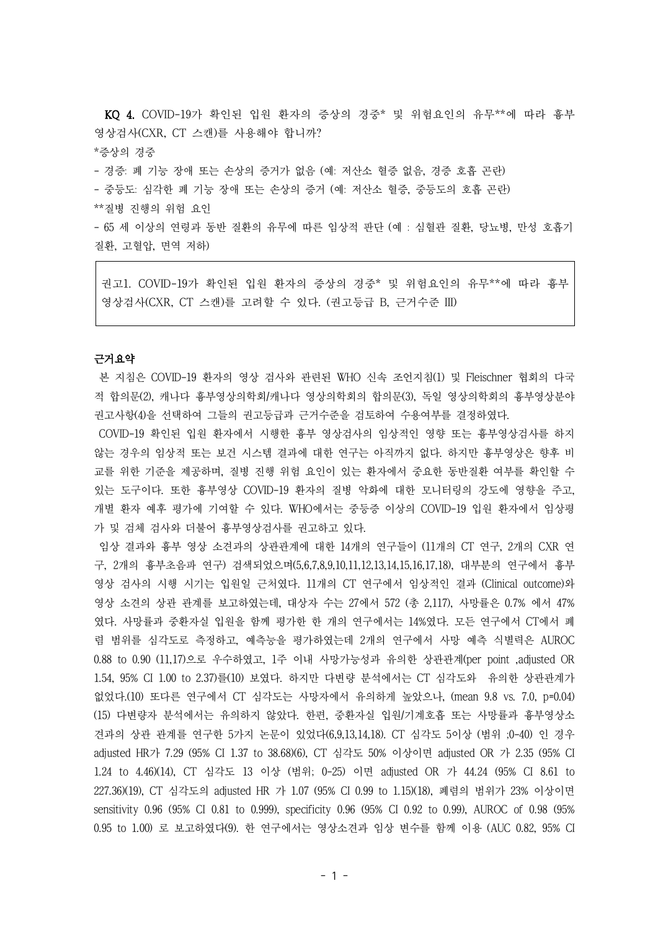KQ 4. COVID-19가 확인된 입원 환자의 증상의 경중\* 및 위험요인의 유무\*\*에 따라 흉부 영상검사(CXR, CT 스캔)를 사용해야 합니까?

\*증상의 경중

- 경증: 폐 기능 장애 또는 손상의 증거가 없음 (예: 저산소 혈증 없음, 경증 호흡 곤란)

- 중등도: 심각한 폐 기능 장애 또는 손상의 증거 (예: 저산소 혈증, 중등도의 호흡 곤란)

\*\*질병 진행의 위험 요인

- 65 세 이상의 연령과 동반 질환의 유무에 따른 임상적 판단 (예 : 심혈관 질환, 당뇨병, 만성 호흡기 질환, 고혈압, 면역 저하)

권고1. COVID-19가 확인된 입원 환자의 증상의 경중\* 및 위험요인의 유무\*\*에 따라 흉부 영상검사(CXR, CT 스캔)를 고려할 수 있다. (권고등급 B, 근거수준 III)

# 근거요약

본 지침은 COVID-19 환자의 영상 검사와 관련된 WHO 신속 조언지침(1) 및 Fleischner 협회의 다국 적 합의문(2), 캐나다 흉부영상의학회/캐나다 영상의학회의 합의문(3), 독일 영상의학회의 흉부영상분야 권고사항(4)을 선택하여 그들의 권고등급과 근거수준을 검토하여 수용여부를 결정하였다.

COVID-19 확인된 입원 환자에서 시행한 흉부 영상검사의 임상적인 영향 또는 흉부영상검사를 하지 않는 경우의 임상적 또는 보건 시스템 결과에 대한 연구는 아직까지 없다. 하지만 흉부영상은 향후 비 교를 위한 기준을 제공하며, 질병 진행 위험 요인이 있는 환자에서 중요한 동반질환 여부를 확인할 수 있는 도구이다. 또한 흉부영상 COVID-19 환자의 질병 악화에 대한 모니터링의 강도에 영향을 주고, 개별 환자 예후 평가에 기여할 수 있다. WHO에서는 중등증 이상의 COVID-19 입원 환자에서 임상평 가 및 검체 검사와 더불어 흉부영상검사를 권고하고 있다.

임상 결과와 흉부 영상 소견과의 상관관계에 대한 14개의 연구들이 (11개의 CT 연구, 2개의 CXR 연 구, 2개의 흉부초음파 연구) 검색되었으며(5,6,7,8,9,10,11,12,13,14,15,16,17,18), 대부분의 연구에서 흉부 영상 검사의 시행 시기는 입원일 근처였다. 11개의 CT 연구에서 임상적인 결과 (Clinical outcome)와 영상 소견의 상관 관계를 보고하였는데, 대상자 수는 27에서 572 (총 2,117), 사망률은 0.7% 에서 47% 였다. 사망률과 중환자실 입원을 함께 평가한 한 개의 연구에서는 14%였다. 모든 연구에서 CT에서 폐 렴 범위를 심각도로 측정하고, 예측능을 평가하였는데 2개의 연구에서 사망 예측 식별력은 AUROC 0.88 to 0.90 (11,17)으로 우수하였고, 1주 이내 사망가능성과 유의한 상관관계(per point ,adjusted OR 1.54, 95% CI 1.00 to 2.37)를(10) 보였다. 하지만 다변량 분석에서는 CT 심각도와 유의한 상관관계가 없었다.(10) 또다른 연구에서 CT 심각도는 사망자에서 유의하게 높았으나, (mean 9.8 vs. 7.0, p=0.04) (15) 다변량자 분석에서는 유의하지 않았다. 한편, 중환자실 입원/기계호흡 또는 사망률과 흉부영상소 견과의 상관 관계를 연구한 5가지 논문이 있었다(6,9,13,14,18). CT 심각도 5이상 (범위 ;0-40) 인 경우 adjusted HR가 7.29 (95% CI 1.37 to 38.68)(6), CT 심각도 50% 이상이면 adjusted OR 가 2.35 (95% CI 1.24 to 4.46)(14), CT 심각도 13 이상 (범위; 0-25) 이면 adjusted OR 가 44.24 (95% CI 8.61 to 227.36)(19), CT 심각도의 adjusted HR 가 1.07 (95% CI 0.99 to 1.15)(18), 폐렴의 범위가 23% 이상이면 sensitivity 0.96 (95% CI 0.81 to 0.999), specificity 0.96 (95% CI 0.92 to 0.99), AUROC of 0.98 (95% 0.95 to 1.00) 로 보고하였다(9). 한 연구에서는 영상소견과 임상 변수를 함께 이용 (AUC 0.82, 95% CI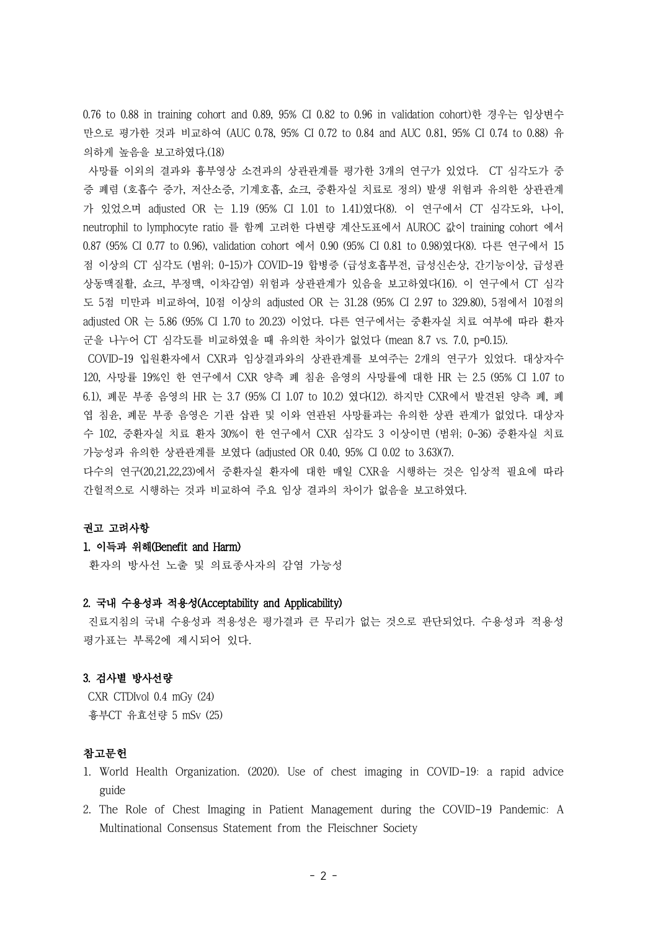0.76 to 0.88 in training cohort and 0.89, 95% CI 0.82 to 0.96 in validation cohort)한 경우는 임상변수 만으로 평가한 것과 비교하여 (AUC 0.78, 95% CI 0.72 to 0.84 and AUC 0.81, 95% CI 0.74 to 0.88) 유 의하게 높음을 보고하였다.(18)

사망률 이외의 결과와 흉부영상 소견과의 상관관계를 평가한 3개의 연구가 있었다. CT 심각도가 중 증 폐렴 (호흡수 증가, 저산소증, 기계호흡, 쇼크, 중환자실 치료로 정의) 발생 위험과 유의한 상관관계 가 있었으며 adjusted OR 는 1.19 (95% CI 1.01 to 1.41)였다(8). 이 연구에서 CT 심각도와, 나이, neutrophil to lymphocyte ratio 를 함께 고려한 다변량 계산도표에서 AUROC 값이 training cohort 에서 0.87 (95% CI 0.77 to 0.96), validation cohort 에서 0.90 (95% CI 0.81 to 0.98)였다(8). 다른 연구에서 15 점 이상의 CT 심각도 (범위; 0-15)가 COVID-19 합병증 (급성호흡부전, 급성신손상, 간기능이상, 급성관 상동맥질활, 쇼크, 부정맥, 이차감염) 위험과 상관관계가 있음을 보고하였다(16). 이 연구에서 CT 심각 도 5점 미만과 비교하여, 10점 이상의 adjusted OR 는 31.28 (95% CI 2.97 to 329.80), 5점에서 10점의 adjusted OR 는 5.86 (95% CI 1.70 to 20.23) 이었다. 다른 연구에서는 중환자실 치료 여부에 따라 환자 군을 나누어 CT 심각도를 비교하였을 때 유의한 차이가 없었다 (mean 8.7 vs. 7.0, p=0.15).

COVID-19 입원환자에서 CXR과 임상결과와의 상관관계를 보여주는 2개의 연구가 있었다. 대상자수 120, 사망률 19%인 한 연구에서 CXR 양측 폐 침윤 음영의 사망률에 대한 HR 는 2.5 (95% CI 1.07 to 6.1), 폐문 부종 음영의 HR 는 3.7 (95% CI 1.07 to 10.2) 였다(12). 하지만 CXR에서 발견된 양측 폐, 폐 엽 침윤, 폐문 부종 음영은 기관 삽관 및 이와 연관된 사망률과는 유의한 상관 관계가 없었다. 대상자 수 102, 중환자실 치료 환자 30%이 한 연구에서 CXR 심각도 3 이상이면 (범위; 0-36) 중환자실 치료 가능성과 유의한 상관관계를 보였다 (adjusted OR 0.40, 95% CI 0.02 to 3.63)(7).

다수의 연구(20,21,22,23)에서 중환자실 환자에 대한 매일 CXR을 시행하는 것은 임상적 필요에 따라 간헐적으로 시행하는 것과 비교하여 주요 임상 결과의 차이가 없음을 보고하였다.

# 권고 고려사항

### 1. 이득과 위해(Benefit and Harm)

환자의 방사선 노출 및 의료종사자의 감염 가능성

## 2. 국내 수용성과 적용성(Acceptability and Applicability)

진료지침의 국내 수용성과 적용성은 평가결과 큰 무리가 없는 것으로 판단되었다. 수용성과 적용성 평가표는 부록2에 제시되어 있다.

### 3. 검사별 방사선량

CXR CTDIvol 0.4 mGy (24) 흉부CT 유효선량 5 mSv (25)

### 참고문헌

- 1. World Health Organization. (2020). Use of chest imaging in COVID-19: a rapid advice guide
- 2. The Role of Chest Imaging in Patient Management during the COVID-19 Pandemic: A Multinational Consensus Statement from the Fleischner Society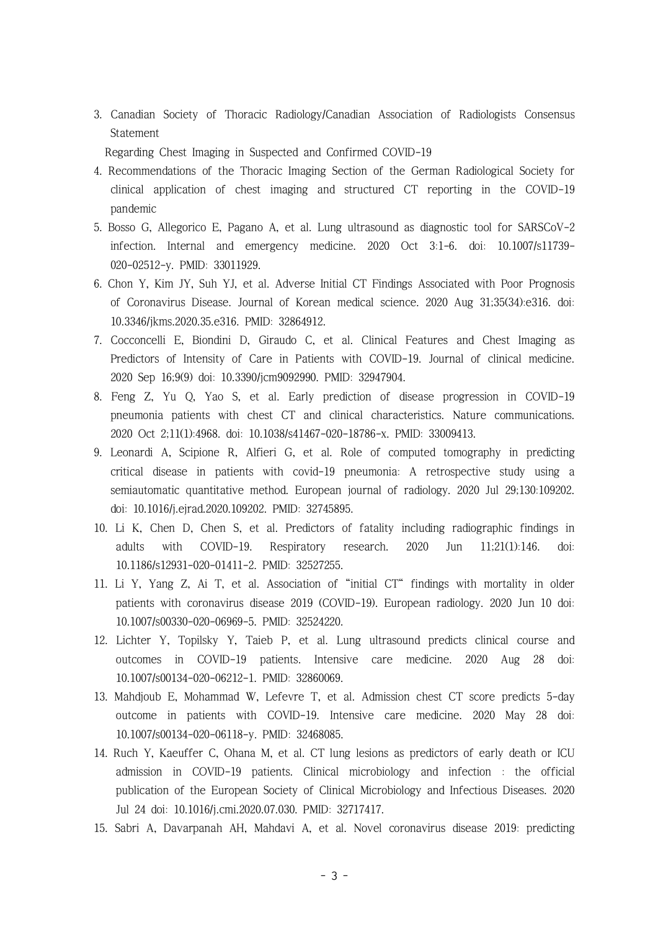3. Canadian Society of Thoracic Radiology/Canadian Association of Radiologists Consensus Statement

Regarding Chest Imaging in Suspected and Confirmed COVID-19

- 4. Recommendations of the Thoracic Imaging Section of the German Radiological Society for clinical application of chest imaging and structured CT reporting in the COVID-19 pandemic
- 5. Bosso G, Allegorico E, Pagano A, et al. Lung ultrasound as diagnostic tool for SARSCoV-2 infection. Internal and emergency medicine. 2020 Oct 3:1-6. doi: 10.1007/s11739- 020-02512-y. PMID: 33011929.
- 6. Chon Y, Kim JY, Suh YJ, et al. Adverse Initial CT Findings Associated with Poor Prognosis of Coronavirus Disease. Journal of Korean medical science. 2020 Aug 31;35(34):e316. doi: 10.3346/jkms.2020.35.e316. PMID: 32864912.
- 7. Cocconcelli E, Biondini D, Giraudo C, et al. Clinical Features and Chest Imaging as Predictors of Intensity of Care in Patients with COVID-19. Journal of clinical medicine. 2020 Sep 16;9(9) doi: 10.3390/jcm9092990. PMID: 32947904.
- 8. Feng Z, Yu Q, Yao S, et al. Early prediction of disease progression in COVID-19 pneumonia patients with chest CT and clinical characteristics. Nature communications. 2020 Oct 2;11(1):4968. doi: 10.1038/s41467-020-18786-x. PMID: 33009413.
- 9. Leonardi A, Scipione R, Alfieri G, et al. Role of computed tomography in predicting critical disease in patients with covid-19 pneumonia: A retrospective study using a semiautomatic quantitative method. European journal of radiology. 2020 Jul 29;130:109202. doi: 10.1016/j.ejrad.2020.109202. PMID: 32745895.
- 10. Li K, Chen D, Chen S, et al. Predictors of fatality including radiographic findings in adults with COVID-19. Respiratory research. 2020 Jun 11;21(1):146. doi: 10.1186/s12931-020-01411-2. PMID: 32527255.
- 11. Li Y, Yang Z, Ai T, et al. Association of "initial CT" findings with mortality in older patients with coronavirus disease 2019 (COVID-19). European radiology. 2020 Jun 10 doi: 10.1007/s00330-020-06969-5. PMID: 32524220.
- 12. Lichter Y, Topilsky Y, Taieb P, et al. Lung ultrasound predicts clinical course and outcomes in COVID-19 patients. Intensive care medicine. 2020 Aug 28 doi: 10.1007/s00134-020-06212-1. PMID: 32860069.
- 13. Mahdjoub E, Mohammad W, Lefevre T, et al. Admission chest CT score predicts 5-day outcome in patients with COVID-19. Intensive care medicine. 2020 May 28 doi: 10.1007/s00134-020-06118-y. PMID: 32468085.
- 14. Ruch Y, Kaeuffer C, Ohana M, et al. CT lung lesions as predictors of early death or ICU admission in COVID-19 patients. Clinical microbiology and infection : the official publication of the European Society of Clinical Microbiology and Infectious Diseases. 2020 Jul 24 doi: 10.1016/j.cmi.2020.07.030. PMID: 32717417.
- 15. Sabri A, Davarpanah AH, Mahdavi A, et al. Novel coronavirus disease 2019: predicting